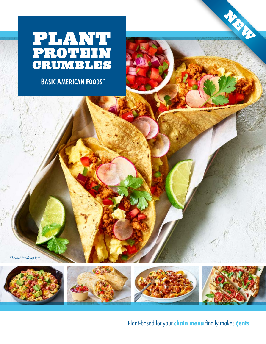

**BASIC AMERICAN FOODS** 

*"Chorizo" Breakfast Tacos*







NEW

Plant-based for your **chain menu** finally makes **cents**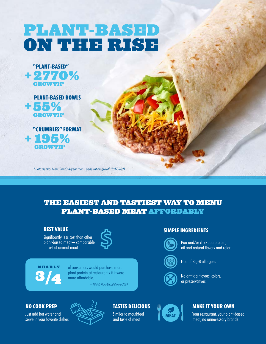# plant-based on the rise







*\* Datassential MenuTrends 4-year menu penetration growth 2017-2021*

### The easiest and tastiest way to menu plant-based meat affordably

#### **Best Value**

Significantly less cost than other plant-based meat— comparable to cost of animal meat



## n e a r ly 3**/**4

of consumers would purchase more plant protein at restaurants if it were more affordable.

 *— Mintel, Plant-Based Protein 2019*

#### **Simple Ingredients**



 Pea and/or chickpea protein, oil and natural flavors and color

Free of Big-8 allergens



 No artificial flavors, colors, or preservatives



Just add hot water and serve in your favorite dishes



### **Tastes Delicious**

Similar to mouthfeel and taste of meat



#### **Make it Your Own**

Your restaurant, your plant-based meat, no unnecessary brands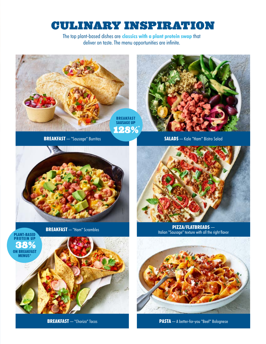# Culinary Inspiration

The top plant-based dishes are **classics with a plant protein swap** that deliver on taste. The menu opportunities are infinite.



**BREAKFAST** — "Chorizo" Tacos **PASTA** — A better-for-you "Beef" Bolognese